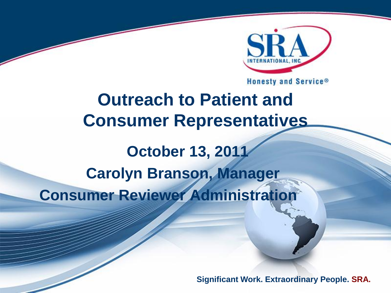

Honesty and Service®

## **Outreach to Patient and Consumer Representatives October 13, 2011 Carolyn Branson, Manager Consumer Reviewer Administration**

**Significant Work. Extraordinary People. SRA.**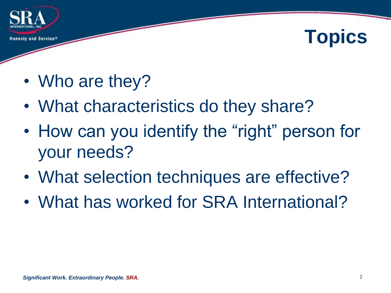

## **Topics**

- Who are they?
- What characteristics do they share?
- How can you identify the "right" person for your needs?
- What selection techniques are effective?
- What has worked for SRA International?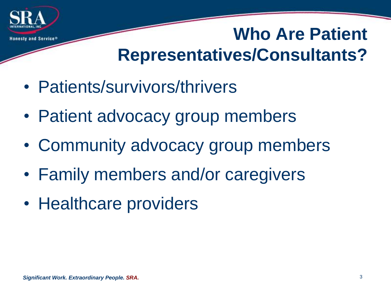

#### **Who Are Patient Representatives/Consultants?**

- Patients/survivors/thrivers
- Patient advocacy group members
- Community advocacy group members
- Family members and/or caregivers
- Healthcare providers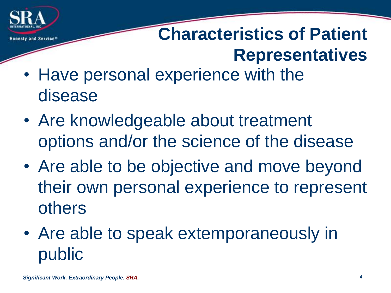

## **Characteristics of Patient Representatives**

- Have personal experience with the disease
- Are knowledgeable about treatment options and/or the science of the disease
- Are able to be objective and move beyond their own personal experience to represent others
- Are able to speak extemporaneously in public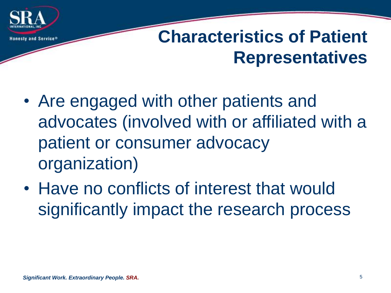

- Are engaged with other patients and advocates (involved with or affiliated with a patient or consumer advocacy organization)
- Have no conflicts of interest that would significantly impact the research process

Honesty and Service®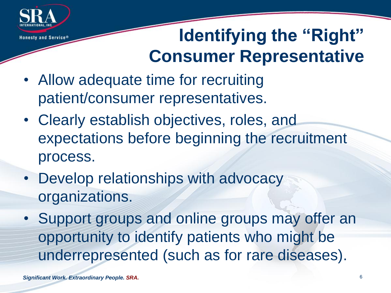

## **Identifying the "Right" Consumer Representative**

- Allow adequate time for recruiting patient/consumer representatives.
- Clearly establish objectives, roles, and expectations before beginning the recruitment process.
- Develop relationships with advocacy organizations.
- Support groups and online groups may offer an opportunity to identify patients who might be underrepresented (such as for rare diseases).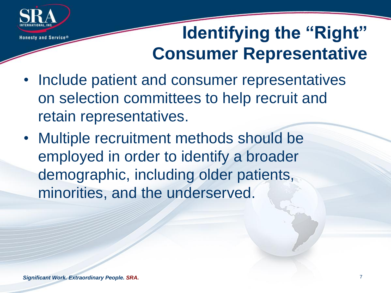

## **Identifying the "Right" Consumer Representative**

- Include patient and consumer representatives on selection committees to help recruit and retain representatives.
- Multiple recruitment methods should be employed in order to identify a broader demographic, including older patients, minorities, and the underserved.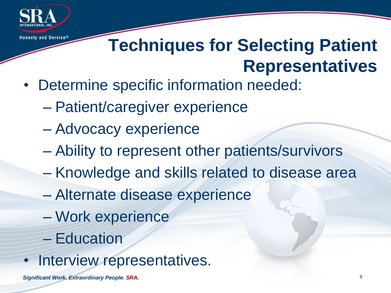

#### **Techniques for Selecting Patient Representatives**

- Determine specific information needed:
	- Patient/caregiver experience
	- Advocacy experience
	- Ability to represent other patients/survivors
	- Knowledge and skills related to disease area
	- Alternate disease experience
	- Work experience
	- Education
- Interview representatives.

*Significant Work. Extraordinary People. SRA.* 8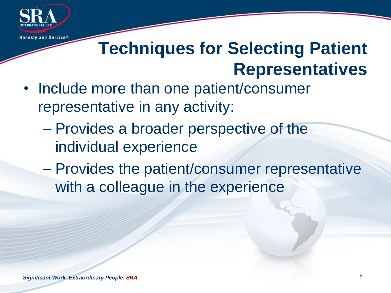

#### **Techniques for Selecting Patient Representatives**

- Include more than one patient/consumer representative in any activity:
	- Provides a broader perspective of the individual experience
	- Provides the patient/consumer representative with a colleague in the experience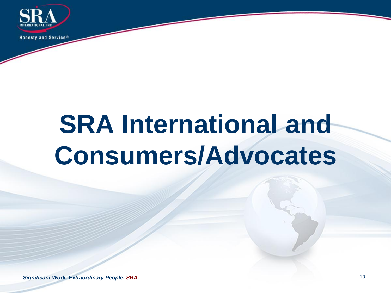

# **SRA International and Consumers/Advocates**

**Significant Work. Extraordinary People. SRA.** 10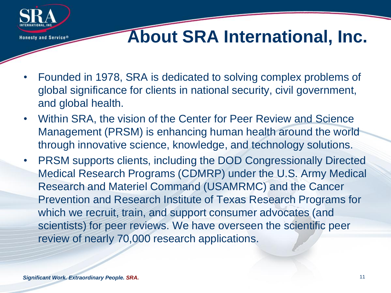

- Founded in 1978, SRA is dedicated to solving complex problems of global significance for clients in national security, civil government, and global health.
- Within SRA, the vision of the Center for Peer Review and Science Management (PRSM) is enhancing human health around the world through innovative science, knowledge, and technology solutions.
- PRSM supports clients, including the DOD Congressionally Directed Medical Research Programs (CDMRP) under the U.S. Army Medical Research and Materiel Command (USAMRMC) and the Cancer Prevention and Research Institute of Texas Research Programs for which we recruit, train, and support consumer advocates (and scientists) for peer reviews. We have overseen the scientific peer review of nearly 70,000 research applications.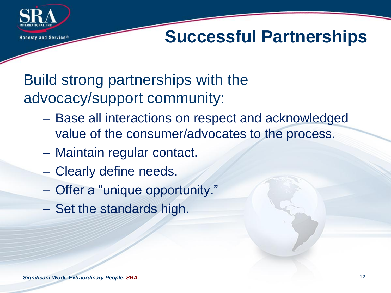

#### **Successful Partnerships**

#### Build strong partnerships with the advocacy/support community:

- Base all interactions on respect and acknowledged value of the consumer/advocates to the process.
- Maintain regular contact.
- Clearly define needs.
- Offer a "unique opportunity."
- Set the standards high.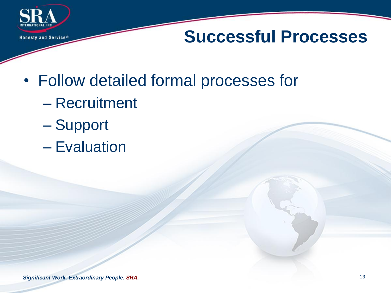

- Follow detailed formal processes for
	- Recruitment
	- Support
	- Evaluation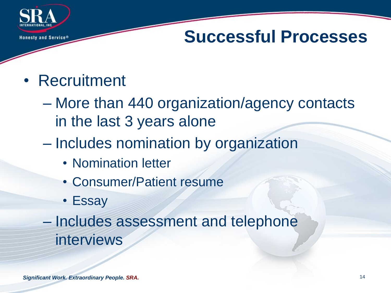

#### • Recruitment

- More than 440 organization/agency contacts in the last 3 years alone
- Includes nomination by organization
	- Nomination letter
	- Consumer/Patient resume
	- Essay

– Includes assessment and telephone interviews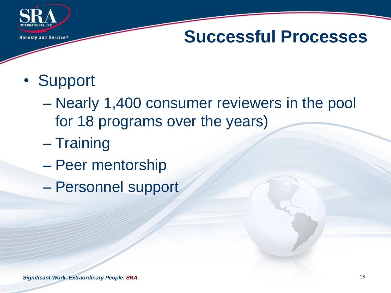

- Support
	- Nearly 1,400 consumer reviewers in the pool for 18 programs over the years)
	- Training
	- Peer mentorship
	- Personnel support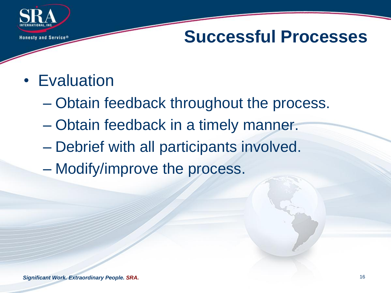

- Evaluation
	- Obtain feedback throughout the process.
	- Obtain feedback in a timely manner.
	- Debrief with all participants involved.
	- Modify/improve the process.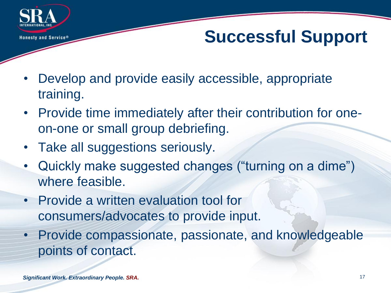

## **Successful Support**

- Develop and provide easily accessible, appropriate training.
- Provide time immediately after their contribution for oneon-one or small group debriefing.
- Take all suggestions seriously.
- Quickly make suggested changes ("turning on a dime") where feasible.
- Provide a written evaluation tool for consumers/advocates to provide input.
- Provide compassionate, passionate, and knowledgeable points of contact.